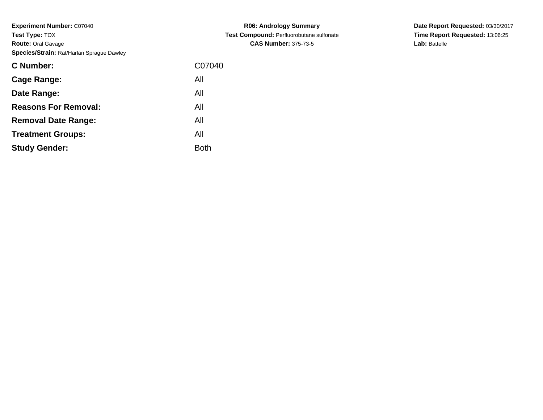**Experiment Number:** C07040**Test Type:** TOX **Route:** Oral Gavage**Species/Strain:** Rat/Harlan Sprague Dawley

| C07040 |
|--------|
|        |
|        |
|        |
|        |
|        |
|        |
|        |

**R06: Andrology Summary Test Compound:** Perfluorobutane sulfonate**CAS Number:** 375-73-5

**Date Report Requested:** 03/30/2017 **Time Report Requested:** 13:06:25**Lab:** Battelle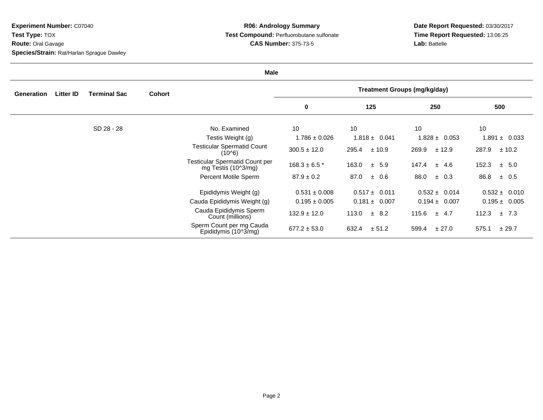**Experiment Number:** C07040**Test Type:** TOX **Route:** Oral Gavage**Species/Strain:** Rat/Harlan Sprague Dawley

## **R06: Andrology Summary Test Compound:** Perfluorobutane sulfonate**CAS Number:** 375-73-5

**Date Report Requested:** 03/30/2017 **Time Report Requested:** 13:06:25**Lab:** Battelle

| <b>Male</b> |                  |                     |               |                                                               |                                     |                    |                   |                    |  |
|-------------|------------------|---------------------|---------------|---------------------------------------------------------------|-------------------------------------|--------------------|-------------------|--------------------|--|
| Generation  | <b>Litter ID</b> | <b>Terminal Sac</b> | <b>Cohort</b> |                                                               | <b>Treatment Groups (mg/kg/day)</b> |                    |                   |                    |  |
|             |                  |                     |               |                                                               | 0                                   | 125                | 250               | 500                |  |
|             |                  | SD 28 - 28          |               | No. Examined                                                  | 10                                  | 10                 | 10                | 10                 |  |
|             |                  |                     |               | Testis Weight (g)                                             | $1.786 \pm 0.026$                   | $1.818 \pm 0.041$  | $1.828 \pm 0.053$ | $1.891 \pm 0.033$  |  |
|             |                  |                     |               | <b>Testicular Spermatid Count</b><br>(10^6)                   | $300.5 \pm 12.0$                    | 295.4<br>± 10.9    | 269.9<br>± 12.9   | 287.9<br>± 10.2    |  |
|             |                  |                     |               | <b>Testicular Spermatid Count per</b><br>mg Testis $(102/mg)$ | $168.3 \pm 6.5$ *                   | $\pm$ 5.9<br>163.0 | 147.4<br>± 4.6    | 152.3<br>$\pm$ 5.0 |  |
|             |                  |                     |               | Percent Motile Sperm                                          | $87.9 \pm 0.2$                      | 87.0<br>± 0.6      | 88.0<br>$\pm$ 0.3 | 86.8<br>$\pm$ 0.5  |  |
|             |                  |                     |               | Epididymis Weight (g)                                         | $0.531 \pm 0.008$                   | $0.517 \pm 0.011$  | $0.532 \pm 0.014$ | $0.532 \pm 0.010$  |  |
|             |                  |                     |               | Cauda Epididymis Weight (g)                                   | $0.195 \pm 0.005$                   | $0.181 \pm 0.007$  | $0.194 \pm 0.007$ | $0.195 \pm 0.005$  |  |
|             |                  |                     |               | Cauda Epididymis Sperm<br>Count (millions)                    | $132.9 \pm 12.0$                    | 113.0<br>$\pm$ 8.2 | $115.6 \pm 4.7$   | 112.3<br>±7.3      |  |
|             |                  |                     |               | Sperm Count per mg Cauda<br>Epididymis (10^3/mg)              | $677.2 \pm 53.0$                    | 632.4<br>± 51.2    | 599.4<br>± 27.0   | 575.1<br>± 29.7    |  |